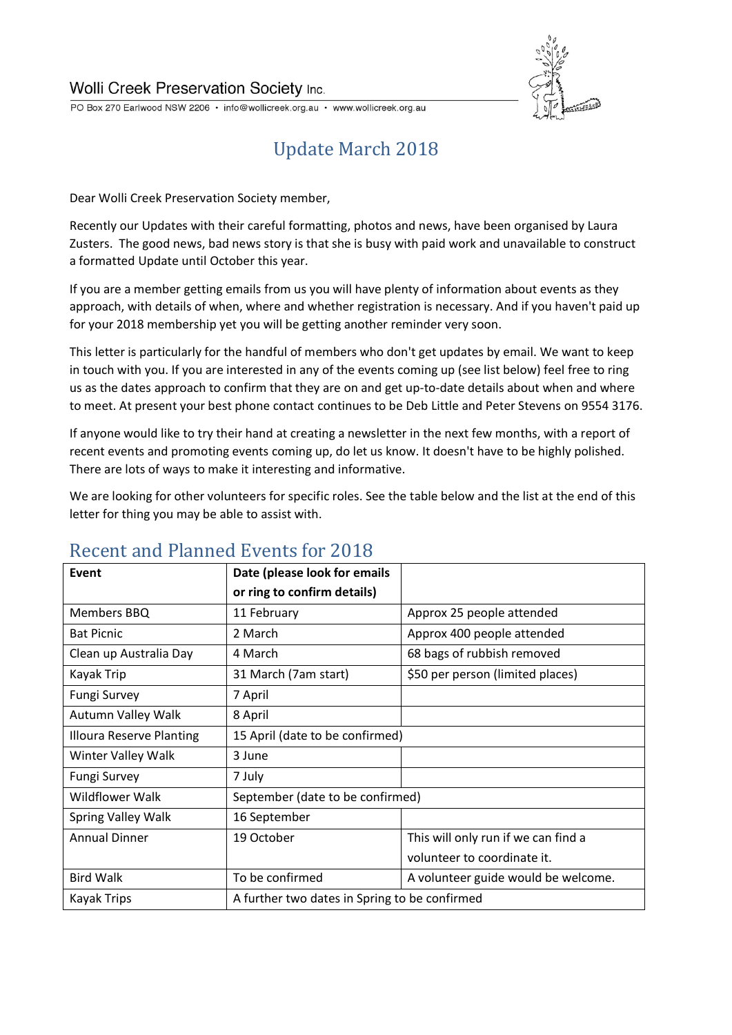

PO Box 270 Earlwood NSW 2206 · info@wollicreek.org.au · www.wollicreek.org.au

# Update March 2018

Dear Wolli Creek Preservation Society member,

Recently our Updates with their careful formatting, photos and news, have been organised by Laura Zusters. The good news, bad news story is that she is busy with paid work and unavailable to construct a formatted Update until October this year.

If you are a member getting emails from us you will have plenty of information about events as they approach, with details of when, where and whether registration is necessary. And if you haven't paid up for your 2018 membership yet you will be getting another reminder very soon.

This letter is particularly for the handful of members who don't get updates by email. We want to keep in touch with you. If you are interested in any of the events coming up (see list below) feel free to ring us as the dates approach to confirm that they are on and get up-to-date details about when and where to meet. At present your best phone contact continues to be Deb Little and Peter Stevens on 9554 3176.

If anyone would like to try their hand at creating a newsletter in the next few months, with a report of recent events and promoting events coming up, do let us know. It doesn't have to be highly polished. There are lots of ways to make it interesting and informative.

We are looking for other volunteers for specific roles. See the table below and the list at the end of this letter for thing you may be able to assist with.

| Event                           | Date (please look for emails                  |                                     |
|---------------------------------|-----------------------------------------------|-------------------------------------|
|                                 | or ring to confirm details)                   |                                     |
| Members BBQ                     | 11 February                                   | Approx 25 people attended           |
| <b>Bat Picnic</b>               | 2 March                                       | Approx 400 people attended          |
| Clean up Australia Day          | 4 March                                       | 68 bags of rubbish removed          |
| Kayak Trip                      | 31 March (7am start)                          | \$50 per person (limited places)    |
| <b>Fungi Survey</b>             | 7 April                                       |                                     |
| Autumn Valley Walk              | 8 April                                       |                                     |
| <b>Illoura Reserve Planting</b> | 15 April (date to be confirmed)               |                                     |
| Winter Valley Walk              | 3 June                                        |                                     |
| <b>Fungi Survey</b>             | 7 July                                        |                                     |
| <b>Wildflower Walk</b>          | September (date to be confirmed)              |                                     |
| Spring Valley Walk              | 16 September                                  |                                     |
| <b>Annual Dinner</b>            | 19 October                                    | This will only run if we can find a |
|                                 |                                               | volunteer to coordinate it.         |
| <b>Bird Walk</b>                | To be confirmed                               | A volunteer guide would be welcome. |
| Kayak Trips                     | A further two dates in Spring to be confirmed |                                     |

### Recent and Planned Events for 2018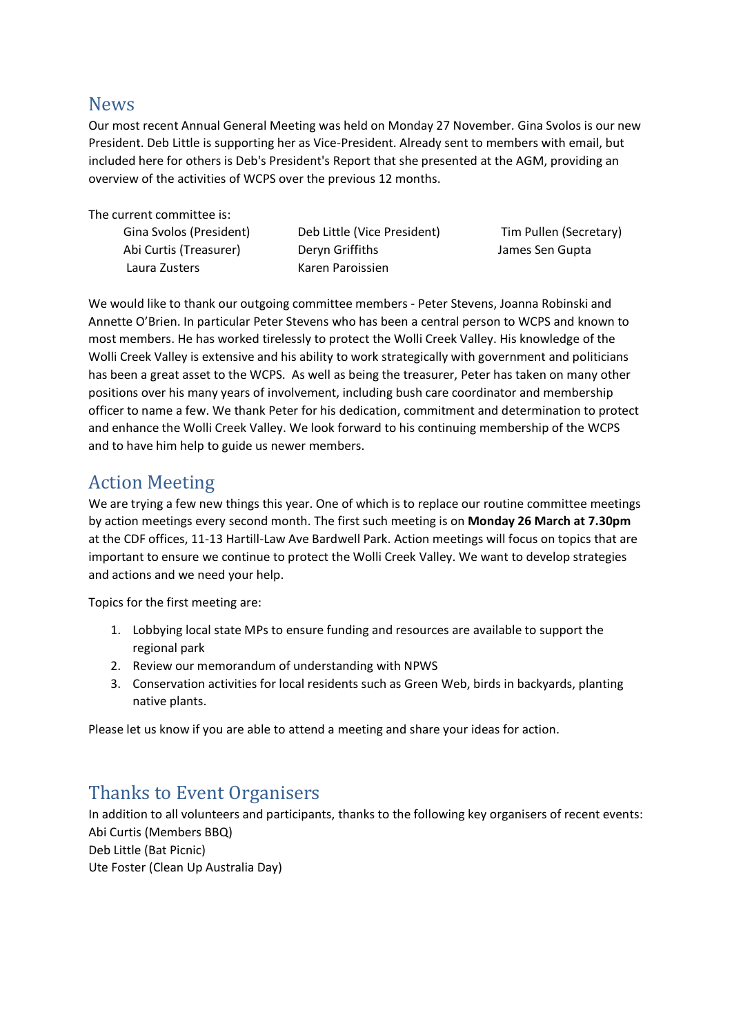#### News

Our most recent Annual General Meeting was held on Monday 27 November. Gina Svolos is our new President. Deb Little is supporting her as Vice-President. Already sent to members with email, but included here for others is Deb's President's Report that she presented at the AGM, providing an overview of the activities of WCPS over the previous 12 months.

The current committee is:

Laura Zusters Karen Paroissien

Gina Svolos (President) Deb Little (Vice President) Tim Pullen (Secretary) Abi Curtis (Treasurer) Deryn Griffiths James Sen Gupta

We would like to thank our outgoing committee members - Peter Stevens, Joanna Robinski and Annette O'Brien. In particular Peter Stevens who has been a central person to WCPS and known to most members. He has worked tirelessly to protect the Wolli Creek Valley. His knowledge of the Wolli Creek Valley is extensive and his ability to work strategically with government and politicians has been a great asset to the WCPS. As well as being the treasurer, Peter has taken on many other positions over his many years of involvement, including bush care coordinator and membership officer to name a few. We thank Peter for his dedication, commitment and determination to protect and enhance the Wolli Creek Valley. We look forward to his continuing membership of the WCPS and to have him help to guide us newer members.

#### Action Meeting

We are trying a few new things this year. One of which is to replace our routine committee meetings by action meetings every second month. The first such meeting is on **Monday 26 March at 7.30pm** at the CDF offices, 11-13 Hartill-Law Ave Bardwell Park. Action meetings will focus on topics that are important to ensure we continue to protect the Wolli Creek Valley. We want to develop strategies and actions and we need your help.

Topics for the first meeting are:

- 1. Lobbying local state MPs to ensure funding and resources are available to support the regional park
- 2. Review our memorandum of understanding with NPWS
- 3. Conservation activities for local residents such as Green Web, birds in backyards, planting native plants.

Please let us know if you are able to attend a meeting and share your ideas for action.

#### Thanks to Event Organisers

In addition to all volunteers and participants, thanks to the following key organisers of recent events: Abi Curtis (Members BBQ) Deb Little (Bat Picnic) Ute Foster (Clean Up Australia Day)